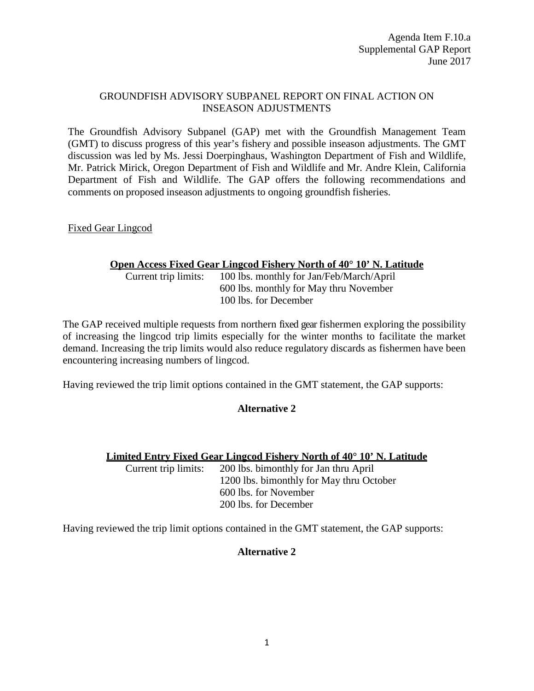## GROUNDFISH ADVISORY SUBPANEL REPORT ON FINAL ACTION ON INSEASON ADJUSTMENTS

The Groundfish Advisory Subpanel (GAP) met with the Groundfish Management Team (GMT) to discuss progress of this year's fishery and possible inseason adjustments. The GMT discussion was led by Ms. Jessi Doerpinghaus, Washington Department of Fish and Wildlife, Mr. Patrick Mirick, Oregon Department of Fish and Wildlife and Mr. Andre Klein, California Department of Fish and Wildlife. The GAP offers the following recommendations and comments on proposed inseason adjustments to ongoing groundfish fisheries.

Fixed Gear Lingcod

## **Open Access Fixed Gear Lingcod Fishery North of 40° 10' N. Latitude**

Current trip limits: 100 lbs. monthly for Jan/Feb/March/April 600 lbs. monthly for May thru November 100 lbs. for December

The GAP received multiple requests from northern fixed gear fishermen exploring the possibility of increasing the lingcod trip limits especially for the winter months to facilitate the market demand. Increasing the trip limits would also reduce regulatory discards as fishermen have been encountering increasing numbers of lingcod.

Having reviewed the trip limit options contained in the GMT statement, the GAP supports:

## **Alternative 2**

## **Limited Entry Fixed Gear Lingcod Fishery North of 40° 10' N. Latitude**

Current trip limits: 200 lbs. bimonthly for Jan thru April 1200 lbs. bimonthly for May thru October 600 lbs. for November 200 lbs. for December

Having reviewed the trip limit options contained in the GMT statement, the GAP supports:

## **Alternative 2**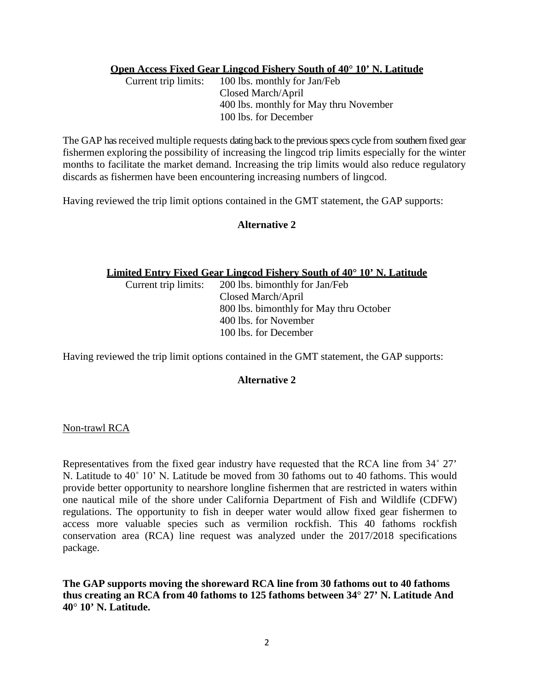# **Open Access Fixed Gear Lingcod Fishery South of 40° 10' N. Latitude**<br>Current trip limits: 100 lbs. monthly for Jan/Feb

100 lbs. monthly for Jan/Feb Closed March/April 400 lbs. monthly for May thru November 100 lbs. for December

The GAP has received multiple requests dating back to the previous specs cycle from southern fixed gear fishermen exploring the possibility of increasing the lingcod trip limits especially for the winter months to facilitate the market demand. Increasing the trip limits would also reduce regulatory discards as fishermen have been encountering increasing numbers of lingcod.

Having reviewed the trip limit options contained in the GMT statement, the GAP supports:

## **Alternative 2**

#### **Limited Entry Fixed Gear Lingcod Fishery South of 40° 10' N. Latitude**

Current trip limits: 200 lbs. bimonthly for Jan/Feb Closed March/April 800 lbs. bimonthly for May thru October 400 lbs. for November 100 lbs. for December

Having reviewed the trip limit options contained in the GMT statement, the GAP supports:

## **Alternative 2**

#### Non-trawl RCA

Representatives from the fixed gear industry have requested that the RCA line from 34˚ 27' N. Latitude to 40˚ 10' N. Latitude be moved from 30 fathoms out to 40 fathoms. This would provide better opportunity to nearshore longline fishermen that are restricted in waters within one nautical mile of the shore under California Department of Fish and Wildlife (CDFW) regulations. The opportunity to fish in deeper water would allow fixed gear fishermen to access more valuable species such as vermilion rockfish. This 40 fathoms rockfish conservation area (RCA) line request was analyzed under the 2017/2018 specifications package.

**The GAP supports moving the shoreward RCA line from 30 fathoms out to 40 fathoms thus creating an RCA from 40 fathoms to 125 fathoms between 34**° **27' N. Latitude And 40**° **10' N. Latitude.**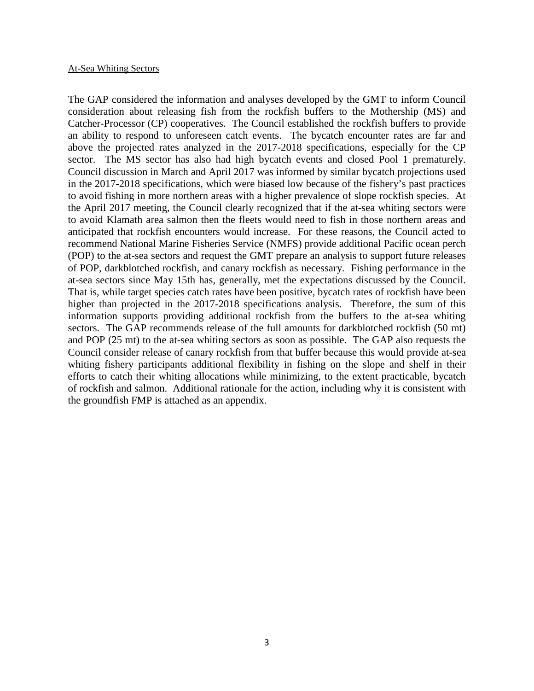#### At-Sea Whiting Sectors

The GAP considered the information and analyses developed by the GMT to inform Council consideration about releasing fish from the rockfish buffers to the Mothership (MS) and Catcher-Processor (CP) cooperatives. The Council established the rockfish buffers to provide an ability to respond to unforeseen catch events. The bycatch encounter rates are far and above the projected rates analyzed in the 2017-2018 specifications, especially for the CP sector. The MS sector has also had high bycatch events and closed Pool 1 prematurely. Council discussion in March and April 2017 was informed by similar bycatch projections used in the 2017-2018 specifications, which were biased low because of the fishery's past practices to avoid fishing in more northern areas with a higher prevalence of slope rockfish species. At the April 2017 meeting, the Council clearly recognized that if the at-sea whiting sectors were to avoid Klamath area salmon then the fleets would need to fish in those northern areas and anticipated that rockfish encounters would increase. For these reasons, the Council acted to recommend National Marine Fisheries Service (NMFS) provide additional Pacific ocean perch (POP) to the at-sea sectors and request the GMT prepare an analysis to support future releases of POP, darkblotched rockfish, and canary rockfish as necessary. Fishing performance in the at-sea sectors since May 15th has, generally, met the expectations discussed by the Council. That is, while target species catch rates have been positive, bycatch rates of rockfish have been higher than projected in the 2017-2018 specifications analysis. Therefore, the sum of this information supports providing additional rockfish from the buffers to the at-sea whiting sectors. The GAP recommends release of the full amounts for darkblotched rockfish (50 mt) and POP (25 mt) to the at-sea whiting sectors as soon as possible. The GAP also requests the Council consider release of canary rockfish from that buffer because this would provide at-sea whiting fishery participants additional flexibility in fishing on the slope and shelf in their efforts to catch their whiting allocations while minimizing, to the extent practicable, bycatch of rockfish and salmon. Additional rationale for the action, including why it is consistent with the groundfish FMP is attached as an appendix.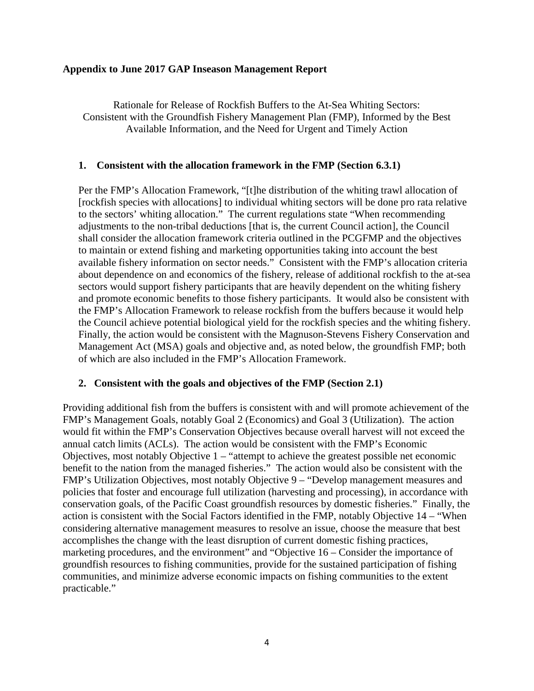## **Appendix to June 2017 GAP Inseason Management Report**

Rationale for Release of Rockfish Buffers to the At-Sea Whiting Sectors: Consistent with the Groundfish Fishery Management Plan (FMP), Informed by the Best Available Information, and the Need for Urgent and Timely Action

## **1. Consistent with the allocation framework in the FMP (Section 6.3.1)**

Per the FMP's Allocation Framework, "[t]he distribution of the whiting trawl allocation of [rockfish species with allocations] to individual whiting sectors will be done pro rata relative to the sectors' whiting allocation." The current regulations state "When recommending adjustments to the non-tribal deductions [that is, the current Council action], the Council shall consider the allocation framework criteria outlined in the PCGFMP and the objectives to maintain or extend fishing and marketing opportunities taking into account the best available fishery information on sector needs." Consistent with the FMP's allocation criteria about dependence on and economics of the fishery, release of additional rockfish to the at-sea sectors would support fishery participants that are heavily dependent on the whiting fishery and promote economic benefits to those fishery participants. It would also be consistent with the FMP's Allocation Framework to release rockfish from the buffers because it would help the Council achieve potential biological yield for the rockfish species and the whiting fishery. Finally, the action would be consistent with the Magnuson-Stevens Fishery Conservation and Management Act (MSA) goals and objective and, as noted below, the groundfish FMP; both of which are also included in the FMP's Allocation Framework.

## **2. Consistent with the goals and objectives of the FMP (Section 2.1)**

Providing additional fish from the buffers is consistent with and will promote achievement of the FMP's Management Goals, notably Goal 2 (Economics) and Goal 3 (Utilization). The action would fit within the FMP's Conservation Objectives because overall harvest will not exceed the annual catch limits (ACLs). The action would be consistent with the FMP's Economic Objectives, most notably Objective 1 – "attempt to achieve the greatest possible net economic benefit to the nation from the managed fisheries." The action would also be consistent with the FMP's Utilization Objectives, most notably Objective 9 – "Develop management measures and policies that foster and encourage full utilization (harvesting and processing), in accordance with conservation goals, of the Pacific Coast groundfish resources by domestic fisheries." Finally, the action is consistent with the Social Factors identified in the FMP, notably Objective 14 – "When considering alternative management measures to resolve an issue, choose the measure that best accomplishes the change with the least disruption of current domestic fishing practices, marketing procedures, and the environment" and "Objective 16 – Consider the importance of groundfish resources to fishing communities, provide for the sustained participation of fishing communities, and minimize adverse economic impacts on fishing communities to the extent practicable."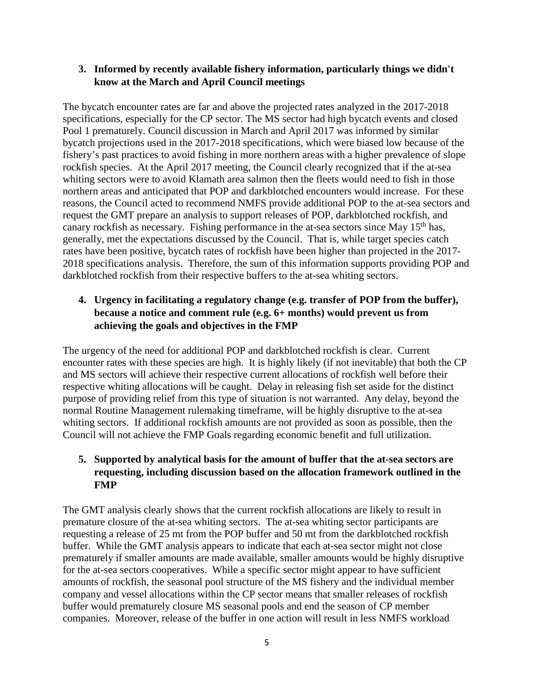## **3. Informed by recently available fishery information, particularly things we didn't know at the March and April Council meetings**

The bycatch encounter rates are far and above the projected rates analyzed in the 2017-2018 specifications, especially for the CP sector. The MS sector had high bycatch events and closed Pool 1 prematurely. Council discussion in March and April 2017 was informed by similar bycatch projections used in the 2017-2018 specifications, which were biased low because of the fishery's past practices to avoid fishing in more northern areas with a higher prevalence of slope rockfish species. At the April 2017 meeting, the Council clearly recognized that if the at-sea whiting sectors were to avoid Klamath area salmon then the fleets would need to fish in those northern areas and anticipated that POP and darkblotched encounters would increase. For these reasons, the Council acted to recommend NMFS provide additional POP to the at-sea sectors and request the GMT prepare an analysis to support releases of POP, darkblotched rockfish, and canary rockfish as necessary. Fishing performance in the at-sea sectors since May 15<sup>th</sup> has, generally, met the expectations discussed by the Council. That is, while target species catch rates have been positive, bycatch rates of rockfish have been higher than projected in the 2017-2018 specifications analysis. Therefore, the sum of this information supports providing POP and darkblotched rockfish from their respective buffers to the at-sea whiting sectors.

# **4. Urgency in facilitating a regulatory change (e.g. transfer of POP from the buffer), because a notice and comment rule (e.g. 6+ months) would prevent us from achieving the goals and objectives in the FMP**

The urgency of the need for additional POP and darkblotched rockfish is clear. Current encounter rates with these species are high. It is highly likely (if not inevitable) that both the CP and MS sectors will achieve their respective current allocations of rockfish well before their respective whiting allocations will be caught. Delay in releasing fish set aside for the distinct purpose of providing relief from this type of situation is not warranted. Any delay, beyond the normal Routine Management rulemaking timeframe, will be highly disruptive to the at-sea whiting sectors. If additional rockfish amounts are not provided as soon as possible, then the Council will not achieve the FMP Goals regarding economic benefit and full utilization.

# **5. Supported by analytical basis for the amount of buffer that the at-sea sectors are requesting, including discussion based on the allocation framework outlined in the FMP**

The GMT analysis clearly shows that the current rockfish allocations are likely to result in premature closure of the at-sea whiting sectors. The at-sea whiting sector participants are requesting a release of 25 mt from the POP buffer and 50 mt from the darkblotched rockfish buffer. While the GMT analysis appears to indicate that each at-sea sector might not close prematurely if smaller amounts are made available, smaller amounts would be highly disruptive for the at-sea sectors cooperatives. While a specific sector might appear to have sufficient amounts of rockfish, the seasonal pool structure of the MS fishery and the individual member company and vessel allocations within the CP sector means that smaller releases of rockfish buffer would prematurely closure MS seasonal pools and end the season of CP member companies. Moreover, release of the buffer in one action will result in less NMFS workload